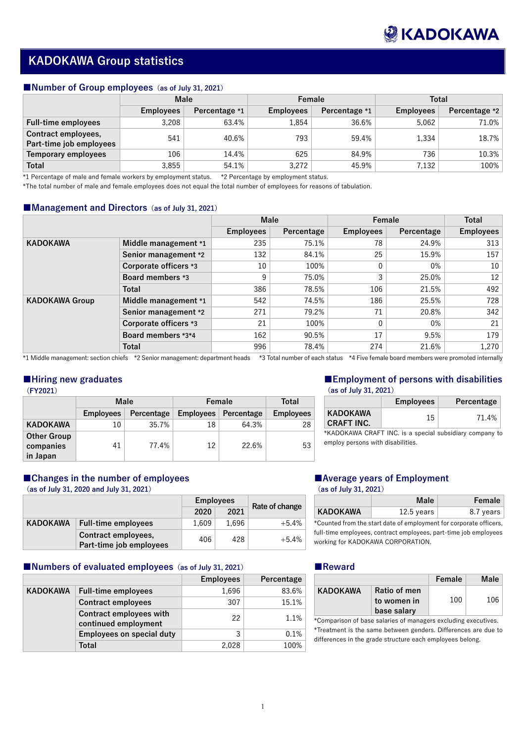1

# **KADOKAWA Group statistics**

### ■**Number of Group employees** (as of July 31, 2021)

|                            | <b>Male</b>      |               | Female           |               | <b>Total</b>     |               |  |
|----------------------------|------------------|---------------|------------------|---------------|------------------|---------------|--|
|                            | <b>Employees</b> | Percentage *1 | <b>Employees</b> | Percentage *1 | <b>Employees</b> | Percentage *2 |  |
| <b>Full-time employees</b> | 3,208            | 63.4%         | 1,854            | 36.6%         | 5,062            | 71.0%         |  |
| Contract employees,        | 541              | 40.6%         | 793              | 59.4%         | 1,334            | 18.7%         |  |
| Part-time job employees    |                  |               |                  |               |                  |               |  |
| <b>Temporary employees</b> | 106              | 14.4%         | 625              | 84.9%         | 736              | 10.3%         |  |
| <b>Total</b>               | 3,855            | 54.1%         | 3,272            | 45.9%         | 7,132            | 100%          |  |

\*1 Percentage of male and female workers by employment status. \*2 Percentage by employment status.

\*The total number of male and female employees does not equal the total number of employees for reasons of tabulation.

### ■Management and Directors (as of July 31, 2021)

|                       |                              | <b>Male</b>      |            | Female           |            | <b>Total</b>     |
|-----------------------|------------------------------|------------------|------------|------------------|------------|------------------|
|                       |                              | <b>Employees</b> | Percentage | <b>Employees</b> | Percentage | <b>Employees</b> |
| <b>KADOKAWA</b>       | Middle management *1         | 235              | 75.1%      | 78               | 24.9%      | 313              |
|                       | Senior management *2         | 132              | 84.1%      | 25               | 15.9%      | 157              |
|                       | <b>Corporate officers *3</b> | 10               | 100%       |                  | 0%         | 10               |
|                       | <b>Board members *3</b>      | 9                | 75.0%      | 3                | 25.0%      | 12               |
|                       | <b>Total</b>                 | 386              | 78.5%      | 106              | 21.5%      | 492              |
| <b>KADOKAWA Group</b> | Middle management *1         | 542              | 74.5%      | 186              | 25.5%      | 728              |
|                       | Senior management *2         | 271              | 79.2%      | 71               | 20.8%      | 342              |
|                       | <b>Corporate officers *3</b> | 21               | 100%       | $\overline{0}$   | 0%         | 21               |
|                       | Board members *3*4           | 162              | 90.5%      | 17               | 9.5%       | 179              |
|                       | <b>Total</b>                 | 996              | 78.4%      | 274              | 21.6%      | 1,270            |

\*1 Middle management: section chiefs \*2 Senior management: department heads \*3 Total number of each status \*4 Five female board members were promoted internally

## **■Hiring new graduates**

| <b>FY2021</b> |  |
|---------------|--|
|---------------|--|

|                    | <b>Male</b>      |            | Female           | <b>Total</b> |                  |
|--------------------|------------------|------------|------------------|--------------|------------------|
|                    | <b>Employees</b> | Percentage | <b>Employees</b> | Percentage   | <b>Employees</b> |
| <b>KADOKAWA</b>    | 10               | 35.7%      | 18               | 64.3%        | 28               |
| <b>Other Group</b> |                  |            |                  |              |                  |
| companies          | 41               | 77.4%      | 12               | 22.6%        | 53               |
| in Japan           |                  |            |                  |              |                  |

## ■Changes in the number of employees

# **■Employment of persons with disabilities**

**(as of July 31, 2021)**

|                                      | <b>Employees</b> | Percentage |
|--------------------------------------|------------------|------------|
| <b>KADOKAWA</b><br><b>CRAFT INC.</b> | 15               | 71.4%      |

\*KADOKAWA CRAFT INC. is a special subsidiary company to employ persons with disabilities.

# ■Average years of Employment

**(as of July 31, 2020 and July 31, 2021)**

|                 |                                                | <b>Employees</b> |       | Rate of change |  |
|-----------------|------------------------------------------------|------------------|-------|----------------|--|
|                 |                                                | 2020             | 2021  |                |  |
| <b>KADOKAWA</b> | <b>Full-time employees</b>                     | 1.609            | 1.696 | $+5.4%$        |  |
|                 | Contract employees,<br>Part-time job employees | 406              | 428   | $+5.4%$        |  |

#### **(as of July 31, 2021)**

|                 | <b>Male</b>  | Female    |
|-----------------|--------------|-----------|
| <b>KADOKAWA</b> | $12.5$ years | 8.7 years |

\*Counted from the start date of employment for corporate officers, full-time employees, contract employees, part-time job employees working for KADOKAWA CORPORATION.

## ■Numbers of evaluated employees (as of July 31, 2021)

|                 |                                                        | <b>Employees</b> | Percentage |
|-----------------|--------------------------------------------------------|------------------|------------|
| <b>KADOKAWA</b> | <b>Full-time employees</b>                             | 1,696            | 83.6%      |
|                 | <b>Contract employees</b>                              | 307              | 15.1%      |
|                 | <b>Contract employees with</b><br>continued employment | 22               | 1.1%       |
|                 | <b>Employees on special duty</b>                       | 3                | 0.1%       |
|                 | <b>Total</b>                                           | 2,028            | 100%       |

#### **■Reward**

|                 |                     | Female | <b>Male</b> |
|-----------------|---------------------|--------|-------------|
| <b>KADOKAWA</b> | <b>Ratio of men</b> |        |             |
|                 | to women in         | 100    | 106         |
|                 | base salary         |        |             |

\*Comparison of base salaries of managers excluding executives. \*Treatment is the same between genders. Differences are due to differences in the grade structure each employees belong.